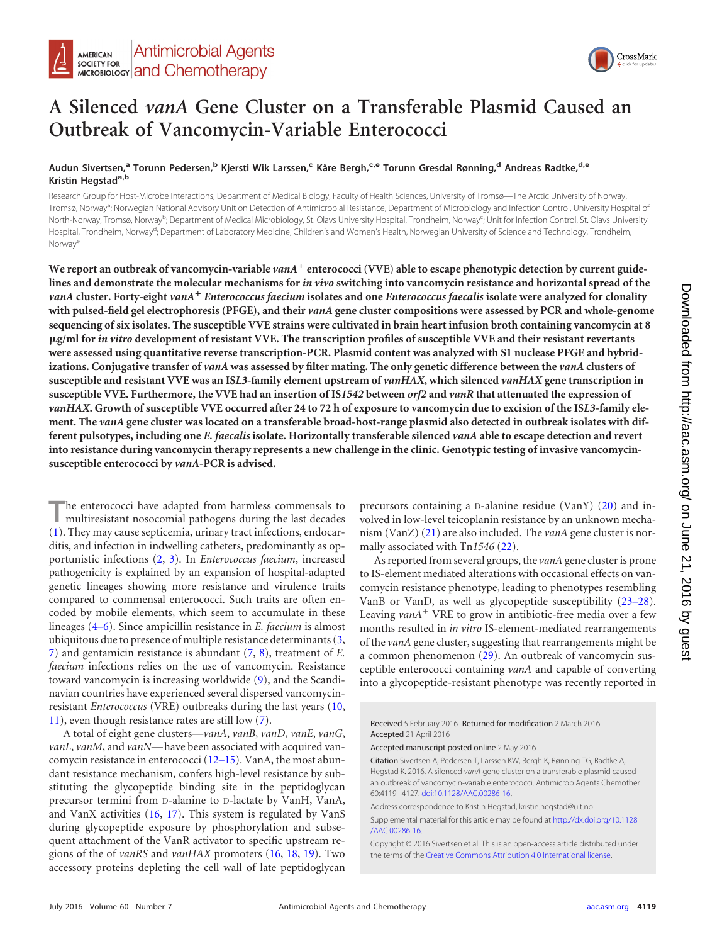

# **A Silenced** *vanA* **Gene Cluster on a Transferable Plasmid Caused an Outbreak of Vancomycin-Variable Enterococci**

## **Audun Sivertsen,<sup>a</sup> Torunn Pedersen,<sup>b</sup> Kjersti Wik Larssen,<sup>c</sup> Kåre Bergh,c,e Torunn Gresdal Rønning,<sup>d</sup> Andreas Radtke,d,e Kristin Hegstada,b**

Research Group for Host-Microbe Interactions, Department of Medical Biology, Faculty of Health Sciences, University of Tromsø—The Arctic University of Norway, Tromsø, Norway<sup>a</sup>; Norwegian National Advisory Unit on Detection of Antimicrobial Resistance, Department of Microbiology and Infection Control, University Hospital of North-Norway, Tromsø, Norway<sup>b</sup>; Department of Medical Microbiology, St. Olavs University Hospital, Trondheim, Norway<sup>c</sup>; Unit for Infection Control, St. Olavs University Hospital, Trondheim, Norway<sup>d</sup>; Department of Laboratory Medicine, Children's and Women's Health, Norwegian University of Science and Technology, Trondheim, Norway<sup>e</sup>

We report an outbreak of vancomycin-variable *vanA*  $^+$  enterococci (VVE) able to escape phenotypic detection by current guide**lines and demonstrate the molecular mechanisms for** *in vivo* **switching into vancomycin resistance and horizontal spread of the** *vanA* **cluster. Forty-eight** *vanA*- *Enterococcus faecium* **isolates and one** *Enterococcus faecalis* **isolate were analyzed for clonality with pulsed-field gel electrophoresis (PFGE), and their** *vanA* **gene cluster compositions were assessed by PCR and whole-genome sequencing of six isolates. The susceptible VVE strains were cultivated in brain heart infusion broth containing vancomycin at 8 g/ml for** *in vitro* **development of resistant VVE. The transcription profiles of susceptible VVE and their resistant revertants were assessed using quantitative reverse transcription-PCR. Plasmid content was analyzed with S1 nuclease PFGE and hybridizations. Conjugative transfer of** *vanA* **was assessed by filter mating. The only genetic difference between the** *vanA* **clusters of susceptible and resistant VVE was an IS***L3***-family element upstream of** *vanHAX***, which silenced** *vanHAX* **gene transcription in susceptible VVE. Furthermore, the VVE had an insertion of IS***1542* **between** *orf2* **and** *vanR* **that attenuated the expression of** *vanHAX***. Growth of susceptible VVE occurred after 24 to 72 h of exposure to vancomycin due to excision of the IS***L3***-family element. The** *vanA* **gene cluster was located on a transferable broad-host-range plasmid also detected in outbreak isolates with different pulsotypes, including one** *E. faecalis* **isolate. Horizontally transferable silenced** *vanA* **able to escape detection and revert into resistance during vancomycin therapy represents a new challenge in the clinic. Genotypic testing of invasive vancomycinsusceptible enterococci by** *vanA***-PCR is advised.**

The enterococci have adapted from harmless commensals to multiresistant nosocomial pathogens during the last decades [\(1\)](#page-6-0). They may cause septicemia, urinary tract infections, endocarditis, and infection in indwelling catheters, predominantly as opportunistic infections [\(2,](#page-6-1) [3\)](#page-6-2). In *Enterococcus faecium*, increased pathogenicity is explained by an expansion of hospital-adapted genetic lineages showing more resistance and virulence traits compared to commensal enterococci. Such traits are often encoded by mobile elements, which seem to accumulate in these lineages [\(4](#page-6-3)[–](#page-6-4)[6\)](#page-6-5). Since ampicillin resistance in *E. faecium* is almost ubiquitous due to presence of multiple resistance determinants [\(3,](#page-6-2) [7\)](#page-6-6) and gentamicin resistance is abundant [\(7,](#page-6-6) [8\)](#page-6-7), treatment of *E. faecium* infections relies on the use of vancomycin. Resistance toward vancomycin is increasing worldwide [\(9\)](#page-6-8), and the Scandinavian countries have experienced several dispersed vancomycinresistant *Enterococcus* (VRE) outbreaks during the last years [\(10,](#page-6-9) [11\)](#page-6-10), even though resistance rates are still low [\(7\)](#page-6-6).

A total of eight gene clusters—*vanA*, *vanB*, *vanD*, *vanE*, *vanG*, *vanL*, *vanM*, and *vanN*— have been associated with acquired vancomycin resistance in enterococci [\(12](#page-6-11)[–](#page-6-12)[15\)](#page-6-13). VanA, the most abundant resistance mechanism, confers high-level resistance by substituting the glycopeptide binding site in the peptidoglycan precursor termini from D-alanine to D-lactate by VanH, VanA, and VanX activities [\(16,](#page-6-14) [17\)](#page-6-15). This system is regulated by VanS during glycopeptide exposure by phosphorylation and subsequent attachment of the VanR activator to specific upstream regions of the of *vanRS* and *vanHAX* promoters [\(16,](#page-6-14) [18,](#page-6-16) [19\)](#page-6-17). Two accessory proteins depleting the cell wall of late peptidoglycan

precursors containing a D-alanine residue (VanY) [\(20\)](#page-6-18) and involved in low-level teicoplanin resistance by an unknown mechanism (VanZ) [\(21\)](#page-7-0) are also included. The *vanA* gene cluster is normally associated with Tn*1546* [\(22\)](#page-7-1).

Asreported from several groups, the *vanA* gene cluster is prone to IS-element mediated alterations with occasional effects on vancomycin resistance phenotype, leading to phenotypes resembling VanB or VanD, as well as glycopeptide susceptibility [\(23](#page-7-2)[–](#page-7-3)[28\)](#page-7-4). Leaving *vanA*<sup>+</sup> VRE to grow in antibiotic-free media over a few months resulted in *in vitro* IS-element-mediated rearrangements of the *vanA* gene cluster, suggesting that rearrangements might be a common phenomenon [\(29\)](#page-7-5). An outbreak of vancomycin susceptible enterococci containing *vanA* and capable of converting into a glycopeptide-resistant phenotype was recently reported in

Received 5 February 2016 Returned for modification 2 March 2016 Accepted 21 April 2016

Accepted manuscript posted online 2 May 2016

Citation Sivertsen A, Pedersen T, Larssen KW, Bergh K, Rønning TG, Radtke A, Hegstad K. 2016. A silenced *vanA* gene cluster on a transferable plasmid caused an outbreak of vancomycin-variable enterococci. Antimicrob Agents Chemother 60:4119 –4127. [doi:10.1128/AAC.00286-16.](http://dx.doi.org/10.1128/AAC.00286-16)

Address correspondence to Kristin Hegstad, kristin.hegstad@uit.no.

Supplemental material for this article may be found at [http://dx.doi.org/10.1128](http://dx.doi.org/10.1128/AAC.00286-16) [/AAC.00286-16.](http://dx.doi.org/10.1128/AAC.00286-16)

Copyright © 2016 Sivertsen et al. This is an open-access article distributed under the terms of the [Creative Commons Attribution 4.0 International license.](http://creativecommons.org/licenses/by/4.0/)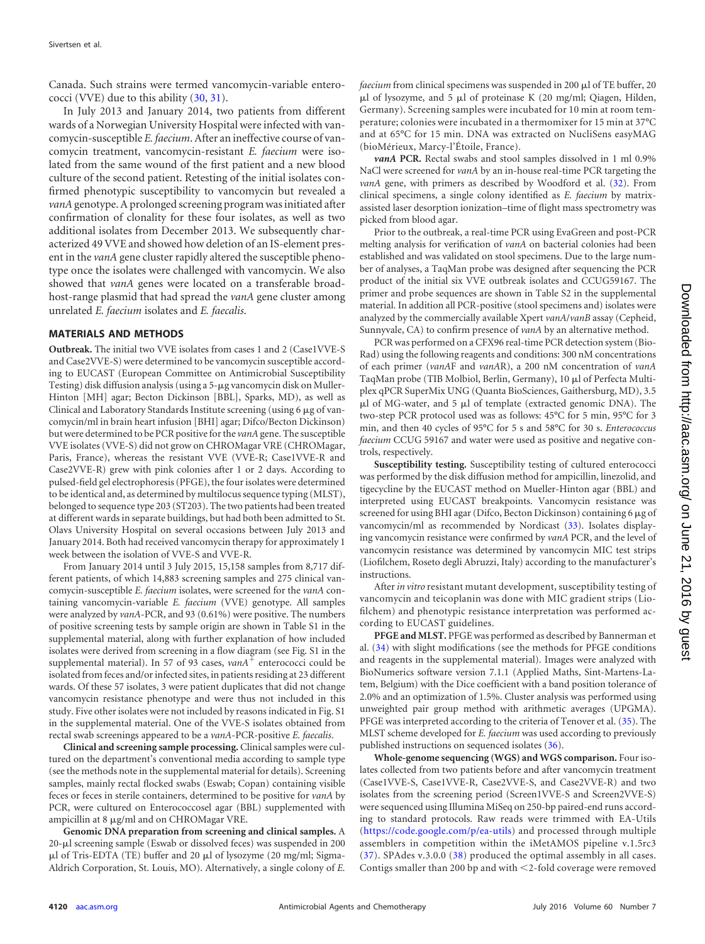Canada. Such strains were termed vancomycin-variable enterococci (VVE) due to this ability [\(30,](#page-7-6) [31\)](#page-7-7).

In July 2013 and January 2014, two patients from different wards of a Norwegian University Hospital were infected with vancomycin-susceptible *E. faecium*. After an ineffective course of vancomycin treatment, vancomycin-resistant *E. faecium* were isolated from the same wound of the first patient and a new blood culture of the second patient. Retesting of the initial isolates confirmed phenotypic susceptibility to vancomycin but revealed a *vanA*genotype. A prolonged screening program was initiated after confirmation of clonality for these four isolates, as well as two additional isolates from December 2013. We subsequently characterized 49 VVE and showed how deletion of an IS-element present in the *vanA* gene cluster rapidly altered the susceptible phenotype once the isolates were challenged with vancomycin. We also showed that *vanA* genes were located on a transferable broadhost-range plasmid that had spread the *vanA* gene cluster among unrelated *E. faecium* isolates and *E. faecalis*.

## **MATERIALS AND METHODS**

**Outbreak.** The initial two VVE isolates from cases 1 and 2 (Case1VVE-S and Case2VVE-S) were determined to be vancomycin susceptible according to EUCAST (European Committee on Antimicrobial Susceptibility Testing) disk diffusion analysis (using a 5-µg vancomycin disk on Muller-Hinton [MH] agar; Becton Dickinson [BBL], Sparks, MD), as well as Clinical and Laboratory Standards Institute screening (using  $6 \mu$ g of vancomycin/ml in brain heart infusion [BHI] agar; Difco/Becton Dickinson) but were determined to be PCR positive for the *vanA*gene. The susceptible VVE isolates (VVE-S) did not grow on CHROMagar VRE (CHROMagar, Paris, France), whereas the resistant VVE (VVE-R; Case1VVE-R and Case2VVE-R) grew with pink colonies after 1 or 2 days. According to pulsed-field gel electrophoresis (PFGE), the four isolates were determined to be identical and, as determined by multilocus sequence typing (MLST), belonged to sequence type 203 (ST203). The two patients had been treated at different wards in separate buildings, but had both been admitted to St. Olavs University Hospital on several occasions between July 2013 and January 2014. Both had received vancomycin therapy for approximately 1 week between the isolation of VVE-S and VVE-R.

From January 2014 until 3 July 2015, 15,158 samples from 8,717 different patients, of which 14,883 screening samples and 275 clinical vancomycin-susceptible *E. faecium* isolates, were screened for the *vanA* containing vancomycin-variable *E. faecium* (VVE) genotype. All samples were analyzed by *vanA*-PCR, and 93 (0.61%) were positive. The numbers of positive screening tests by sample origin are shown in Table S1 in the supplemental material, along with further explanation of how included isolates were derived from screening in a flow diagram (see Fig. S1 in the supplemental material). In 57 of 93 cases,  $vanA^{\pm}$  enterococci could be isolated from feces and/or infected sites, in patients residing at 23 different wards. Of these 57 isolates, 3 were patient duplicates that did not change vancomycin resistance phenotype and were thus not included in this study. Five other isolates were not included by reasons indicated in Fig. S1 in the supplemental material. One of the VVE-S isolates obtained from rectal swab screenings appeared to be a *vanA*-PCR-positive *E. faecalis*.

**Clinical and screening sample processing.** Clinical samples were cultured on the department's conventional media according to sample type (see the methods note in the supplemental material for details). Screening samples, mainly rectal flocked swabs (Eswab; Copan) containing visible feces or feces in sterile containers, determined to be positive for *vanA* by PCR, were cultured on Enterococcosel agar (BBL) supplemented with ampicillin at  $8 \mu g/ml$  and on CHROMagar VRE.

**Genomic DNA preparation from screening and clinical samples.** A 20-µl screening sample (Eswab or dissolved feces) was suspended in 200  $\mu$ l of Tris-EDTA (TE) buffer and 20  $\mu$ l of lysozyme (20 mg/ml; Sigma-Aldrich Corporation, St. Louis, MO). Alternatively, a single colony of *E.* *faecium* from clinical specimens was suspended in 200 µl of TE buffer, 20  $\mu$ l of lysozyme, and 5  $\mu$ l of proteinase K (20 mg/ml; Qiagen, Hilden, Germany). Screening samples were incubated for 10 min at room temperature; colonies were incubated in a thermomixer for 15 min at 37°C and at 65°C for 15 min. DNA was extracted on NucliSens easyMAG (bioMérieux, Marcy-l'Étoile, France).

*vanA* **PCR.** Rectal swabs and stool samples dissolved in 1 ml 0.9% NaCl were screened for *vanA* by an in-house real-time PCR targeting the *vanA* gene, with primers as described by Woodford et al. [\(32\)](#page-7-8). From clinical specimens, a single colony identified as *E. faecium* by matrixassisted laser desorption ionization–time of flight mass spectrometry was picked from blood agar.

Prior to the outbreak, a real-time PCR using EvaGreen and post-PCR melting analysis for verification of *vanA* on bacterial colonies had been established and was validated on stool specimens. Due to the large number of analyses, a TaqMan probe was designed after sequencing the PCR product of the initial six VVE outbreak isolates and CCUG59167. The primer and probe sequences are shown in Table S2 in the supplemental material. In addition all PCR-positive (stool specimens and) isolates were analyzed by the commercially available Xpert *vanA*/*vanB* assay (Cepheid, Sunnyvale, CA) to confirm presence of *vanA* by an alternative method.

PCR was performed on a CFX96 real-time PCR detection system (Bio-Rad) using the following reagents and conditions: 300 nM concentrations of each primer (*vanA*F and *vanA*R), a 200 nM concentration of *vanA* TaqMan probe (TIB Molbiol, Berlin, Germany), 10 µl of Perfecta Multiplex qPCR SuperMix UNG (Quanta BioSciences, Gaithersburg, MD), 3.5  $\mu$ l of MG-water, and 5  $\mu$ l of template (extracted genomic DNA). The two-step PCR protocol used was as follows: 45°C for 5 min, 95°C for 3 min, and then 40 cycles of 95°C for 5 s and 58°C for 30 s. *Enterococcus faecium* CCUG 59167 and water were used as positive and negative controls, respectively.

**Susceptibility testing.** Susceptibility testing of cultured enterococci was performed by the disk diffusion method for ampicillin, linezolid, and tigecycline by the EUCAST method on Mueller-Hinton agar (BBL) and interpreted using EUCAST breakpoints. Vancomycin resistance was screened for using BHI agar (Difco, Becton Dickinson) containing 6 µg of vancomycin/ml as recommended by Nordicast [\(33\)](#page-7-9). Isolates displaying vancomycin resistance were confirmed by *vanA* PCR, and the level of vancomycin resistance was determined by vancomycin MIC test strips (Liofilchem, Roseto degli Abruzzi, Italy) according to the manufacturer's instructions.

After*in vitro* resistant mutant development, susceptibility testing of vancomycin and teicoplanin was done with MIC gradient strips (Liofilchem) and phenotypic resistance interpretation was performed according to EUCAST guidelines.

**PFGE and MLST.** PFGE was performed as described by Bannerman et al. [\(34\)](#page-7-10) with slight modifications (see the methods for PFGE conditions and reagents in the supplemental material). Images were analyzed with BioNumerics software version 7.1.1 (Applied Maths, Sint-Martens-Latem, Belgium) with the Dice coefficient with a band position tolerance of 2.0% and an optimization of 1.5%. Cluster analysis was performed using unweighted pair group method with arithmetic averages (UPGMA). PFGE was interpreted according to the criteria of Tenover et al. [\(35\)](#page-7-11). The MLST scheme developed for *E. faecium* was used according to previously published instructions on sequenced isolates [\(36\)](#page-7-12).

**Whole-genome sequencing (WGS) and WGS comparison.** Four isolates collected from two patients before and after vancomycin treatment (Case1VVE-S, Case1VVE-R, Case2VVE-S, and Case2VVE-R) and two isolates from the screening period (Screen1VVE-S and Screen2VVE-S) were sequenced using Illumina MiSeq on 250-bp paired-end runs according to standard protocols. Raw reads were trimmed with EA-Utils [\(https://code.google.com/p/ea-utils\)](https://code.google.com/p/ea-utils) and processed through multiple assemblers in competition within the iMetAMOS pipeline v.1.5rc3 [\(37\)](#page-7-13). SPAdes v.3.0.0 [\(38\)](#page-7-14) produced the optimal assembly in all cases. Contigs smaller than 200 bp and with  $\leq$ 2-fold coverage were removed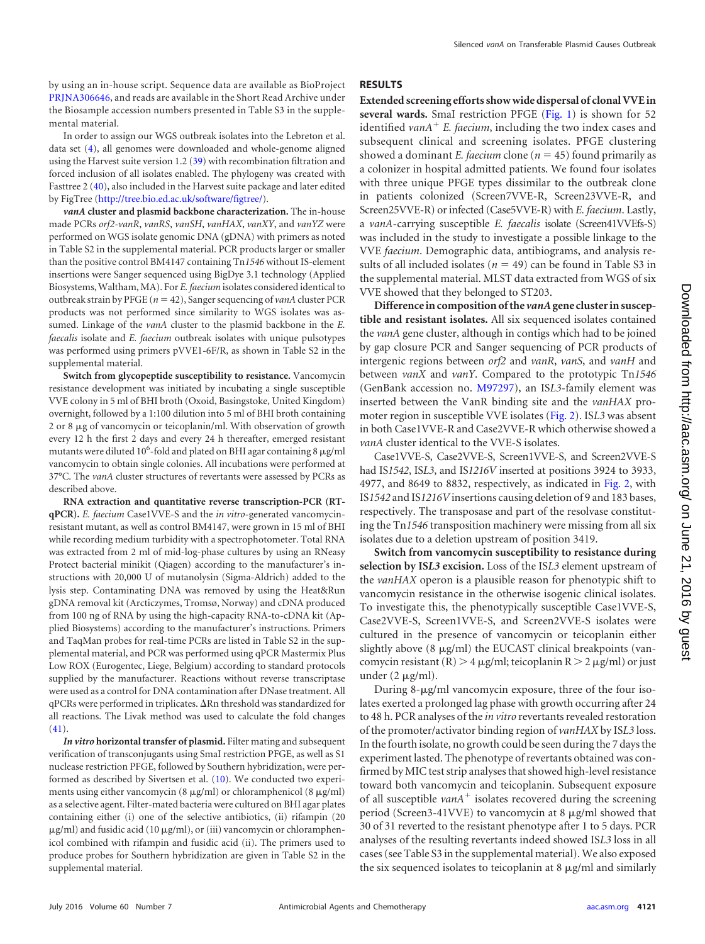by using an in-house script. Sequence data are available as BioProject [PRJNA306646,](http://www.ncbi.nlm.nih.gov/bioproject/PRJNA306646/) and reads are available in the Short Read Archive under the Biosample accession numbers presented in Table S3 in the supplemental material.

In order to assign our WGS outbreak isolates into the Lebreton et al. data set [\(4\)](#page-6-3), all genomes were downloaded and whole-genome aligned using the Harvest suite version 1.2 [\(39\)](#page-7-15) with recombination filtration and forced inclusion of all isolates enabled. The phylogeny was created with Fasttree 2 [\(40\)](#page-7-16), also included in the Harvest suite package and later edited by FigTree [\(http://tree.bio.ed.ac.uk/software/figtree/\)](http://tree.bio.ed.ac.uk/software/figtree/).

*vanA* **cluster and plasmid backbone characterization.** The in-house made PCRs *orf2-vanR*, *vanRS*, *vanSH*, *vanHAX*, *vanXY*, and *vanYZ* were performed on WGS isolate genomic DNA (gDNA) with primers as noted in Table S2 in the supplemental material. PCR products larger or smaller than the positive control BM4147 containing Tn*1546* without IS-element insertions were Sanger sequenced using BigDye 3.1 technology (Applied Biosystems, Waltham, MA). For *E. faecium*isolates considered identical to outbreak strain by PFGE ( $n = 42$ ), Sanger sequencing of *vanA* cluster PCR products was not performed since similarity to WGS isolates was assumed. Linkage of the *vanA* cluster to the plasmid backbone in the *E. faecalis* isolate and *E. faecium* outbreak isolates with unique pulsotypes was performed using primers pVVE1-6F/R, as shown in Table S2 in the supplemental material.

**Switch from glycopeptide susceptibility to resistance.** Vancomycin resistance development was initiated by incubating a single susceptible VVE colony in 5 ml of BHI broth (Oxoid, Basingstoke, United Kingdom) overnight, followed by a 1:100 dilution into 5 ml of BHI broth containing 2 or 8  $\mu$ g of vancomycin or teicoplanin/ml. With observation of growth every 12 h the first 2 days and every 24 h thereafter, emerged resistant mutants were diluted 10<sup>6</sup>-fold and plated on BHI agar containing 8  $\mu$ g/ml vancomycin to obtain single colonies. All incubations were performed at 37°C. The *vanA* cluster structures of revertants were assessed by PCRs as described above.

**RNA extraction and quantitative reverse transcription-PCR (RTqPCR).** *E. faecium* Case1VVE-S and the *in vitro*-generated vancomycinresistant mutant, as well as control BM4147, were grown in 15 ml of BHI while recording medium turbidity with a spectrophotometer. Total RNA was extracted from 2 ml of mid-log-phase cultures by using an RNeasy Protect bacterial minikit (Qiagen) according to the manufacturer's instructions with 20,000 U of mutanolysin (Sigma-Aldrich) added to the lysis step. Contaminating DNA was removed by using the Heat&Run gDNA removal kit (Arcticzymes, Tromsø, Norway) and cDNA produced from 100 ng of RNA by using the high-capacity RNA-to-cDNA kit (Applied Biosystems) according to the manufacturer's instructions. Primers and TaqMan probes for real-time PCRs are listed in Table S2 in the supplemental material, and PCR was performed using qPCR Mastermix Plus Low ROX (Eurogentec, Liege, Belgium) according to standard protocols supplied by the manufacturer. Reactions without reverse transcriptase were used as a control for DNA contamination after DNase treatment. All  $qPCRs$  were performed in triplicates.  $\Delta Rn$  threshold was standardized for all reactions. The Livak method was used to calculate the fold changes [\(41\)](#page-7-17).

*In vitro* **horizontal transfer of plasmid.** Filter mating and subsequent verification of transconjugants using SmaI restriction PFGE, as well as S1 nuclease restriction PFGE, followed by Southern hybridization, were performed as described by Sivertsen et al. [\(10\)](#page-6-9). We conducted two experiments using either vancomycin (8  $\mu$ g/ml) or chloramphenicol (8  $\mu$ g/ml) as a selective agent. Filter-mated bacteria were cultured on BHI agar plates containing either (i) one of the selective antibiotics, (ii) rifampin (20  $\mu$ g/ml) and fusidic acid (10  $\mu$ g/ml), or (iii) vancomycin or chloramphenicol combined with rifampin and fusidic acid (ii). The primers used to produce probes for Southern hybridization are given in Table S2 in the supplemental material.

# **RESULTS**

**Extended screening efforts show wide dispersal of clonal VVE in several wards.** SmaI restriction PFGE [\(Fig. 1\)](#page-3-0) is shown for 52 identified *vanA*- *E. faecium*, including the two index cases and subsequent clinical and screening isolates. PFGE clustering showed a dominant *E. faecium* clone ( $n = 45$ ) found primarily as a colonizer in hospital admitted patients. We found four isolates with three unique PFGE types dissimilar to the outbreak clone in patients colonized (Screen7VVE-R, Screen23VVE-R, and Screen25VVE-R) or infected (Case5VVE-R) with *E. faecium*. Lastly, a *vanA*-carrying susceptible *E. faecalis* isolate (Screen41VVEfs-S) was included in the study to investigate a possible linkage to the VVE *faecium*. Demographic data, antibiograms, and analysis results of all included isolates ( $n = 49$ ) can be found in Table S3 in the supplemental material. MLST data extracted from WGS of six VVE showed that they belonged to ST203.

**Differencein composition of the** *vanA***gene clusterin susceptible and resistant isolates.** All six sequenced isolates contained the *vanA* gene cluster, although in contigs which had to be joined by gap closure PCR and Sanger sequencing of PCR products of intergenic regions between *orf2* and *vanR*, *vanS*, and *vanH* and between *vanX* and *vanY*. Compared to the prototypic Tn*1546* (GenBank accession no. [M97297\)](http://www.ncbi.nlm.nih.gov/nuccore?term=M97297), an IS*L3*-family element was inserted between the VanR binding site and the *vanHAX* promoter region in susceptible VVE isolates [\(Fig. 2\)](#page-4-0). IS*L3* was absent in both Case1VVE-R and Case2VVE-R which otherwise showed a *vanA* cluster identical to the VVE-S isolates.

Case1VVE-S, Case2VVE-S, Screen1VVE-S, and Screen2VVE-S had IS*1542*, IS*L3*, and IS*1216V* inserted at positions 3924 to 3933, 4977, and 8649 to 8832, respectively, as indicated in [Fig. 2,](#page-4-0) with IS*1542* and IS*1216V*insertions causing deletion of 9 and 183 bases, respectively. The transposase and part of the resolvase constituting the Tn*1546* transposition machinery were missing from all six isolates due to a deletion upstream of position 3419.

**Switch from vancomycin susceptibility to resistance during selection by IS***L3* **excision.** Loss of the IS*L3* element upstream of the *vanHAX* operon is a plausible reason for phenotypic shift to vancomycin resistance in the otherwise isogenic clinical isolates. To investigate this, the phenotypically susceptible Case1VVE-S, Case2VVE-S, Screen1VVE-S, and Screen2VVE-S isolates were cultured in the presence of vancomycin or teicoplanin either slightly above  $(8 \mu g/ml)$  the EUCAST clinical breakpoints (vancomycin resistant (R)  $>$  4 µg/ml; teicoplanin R  $>$  2 µg/ml) or just under  $(2 \mu g/ml)$ .

During 8- $\mu$ g/ml vancomycin exposure, three of the four isolates exerted a prolonged lag phase with growth occurring after 24 to 48 h. PCR analyses of the *in vitro* revertants revealed restoration of the promoter/activator binding region of *vanHAX* by IS*L3* loss. In the fourth isolate, no growth could be seen during the 7 days the experiment lasted. The phenotype of revertants obtained was confirmed by MIC test strip analyses that showed high-level resistance toward both vancomycin and teicoplanin. Subsequent exposure of all susceptible *vanA*<sup>+</sup> isolates recovered during the screening period (Screen3-41VVE) to vancomycin at 8  $\mu$ g/ml showed that 30 of 31 reverted to the resistant phenotype after 1 to 5 days. PCR analyses of the resulting revertants indeed showed IS*L3* loss in all cases (see Table S3 in the supplemental material). We also exposed the six sequenced isolates to teicoplanin at  $8 \mu g/ml$  and similarly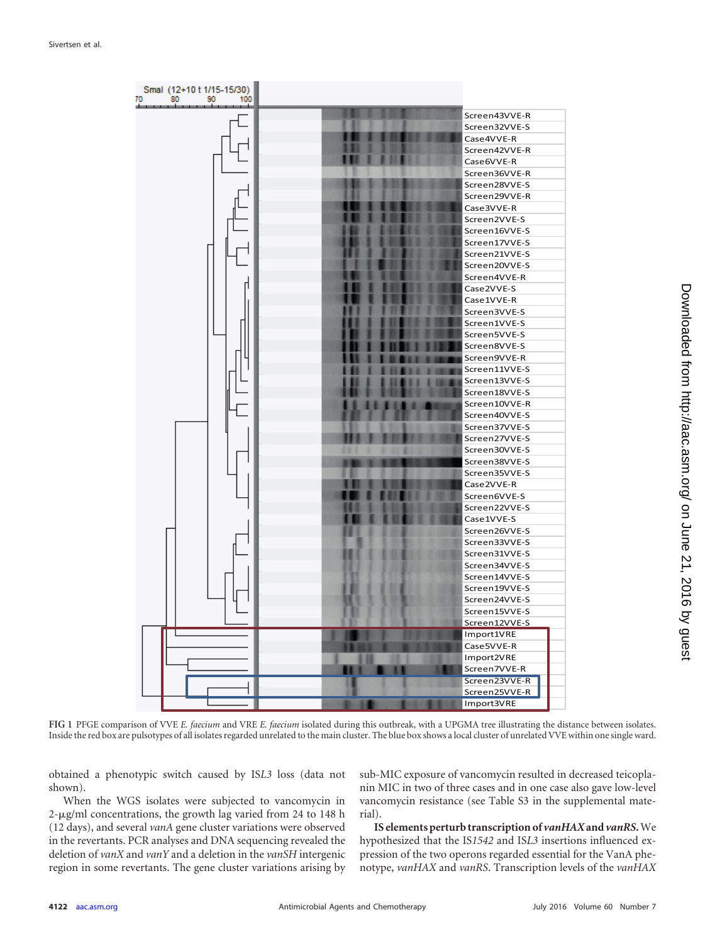

<span id="page-3-0"></span>**FIG 1** PFGE comparison of VVE *E. faecium* and VRE *E. faecium* isolated during this outbreak, with a UPGMA tree illustrating the distance between isolates. Inside the red box are pulsotypes of all isolates regarded unrelated to the main cluster. The blue box shows a local cluster of unrelated VVE within one single ward.

obtained a phenotypic switch caused by IS*L3* loss (data not shown).

When the WGS isolates were subjected to vancomycin in  $2$ -µg/ml concentrations, the growth lag varied from 24 to 148 h (12 days), and several *vanA* gene cluster variations were observed in the revertants. PCR analyses and DNA sequencing revealed the deletion of *vanX* and *vanY* and a deletion in the *vanSH* intergenic region in some revertants. The gene cluster variations arising by

sub-MIC exposure of vancomycin resulted in decreased teicoplanin MIC in two of three cases and in one case also gave low-level vancomycin resistance (see Table S3 in the supplemental material).

**IS elements perturb transcription of** *vanHAX***and** *vanRS***.**We hypothesized that the IS*1542* and IS*L3* insertions influenced expression of the two operons regarded essential for the VanA phenotype, *vanHAX* and *vanRS*. Transcription levels of the *vanHAX*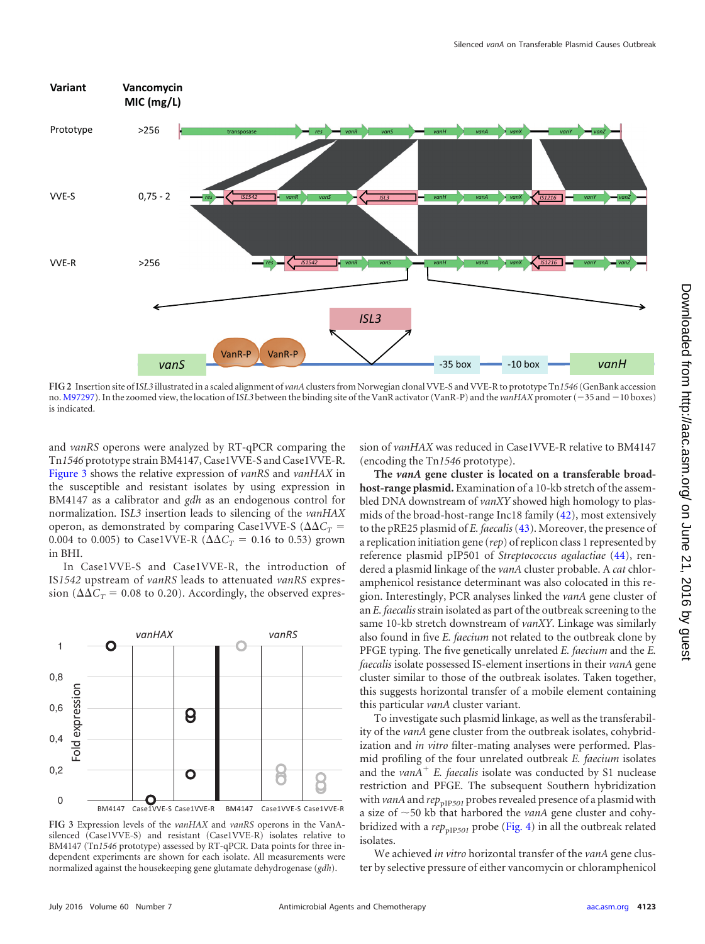

<span id="page-4-0"></span>**FIG 2** Insertion site of I*SL3* illustrated in a scaled alignment of *vanA*clusters from Norwegian clonal VVE-S and VVE-R to prototype Tn*1546* (GenBank accession no. [M97297\)](http://www.ncbi.nlm.nih.gov/nuccore/M97297). In the zoomed view, the location of ISL3 between the binding site of the VanR activator (VanR-P) and the *vanHAX* promoter ( $-35$  and  $-10$  boxes) is indicated.

and *vanRS* operons were analyzed by RT-qPCR comparing the Tn*1546* prototype strain BM4147, Case1VVE-S and Case1VVE-R. [Figure 3](#page-4-1) shows the relative expression of *vanRS* and *vanHAX* in the susceptible and resistant isolates by using expression in BM4147 as a calibrator and *gdh* as an endogenous control for normalization. IS*L3* insertion leads to silencing of the *vanHAX* operon, as demonstrated by comparing Case1VVE-S ( $\Delta \Delta C_T$  = 0.004 to 0.005) to Case1VVE-R ( $\Delta \Delta C_T = 0.16$  to 0.53) grown in BHI.

In Case1VVE-S and Case1VVE-R, the introduction of IS*1542* upstream of *vanRS* leads to attenuated *vanRS* expression ( $\Delta \Delta C_T$  = 0.08 to 0.20). Accordingly, the observed expres-



<span id="page-4-1"></span>**FIG 3** Expression levels of the *vanHAX* and *vanRS* operons in the VanAsilenced (Case1VVE-S) and resistant (Case1VVE-R) isolates relative to BM4147 (Tn*1546* prototype) assessed by RT-qPCR. Data points for three independent experiments are shown for each isolate. All measurements were normalized against the housekeeping gene glutamate dehydrogenase (*gdh*).

sion of *vanHAX* was reduced in Case1VVE-R relative to BM4147 (encoding the Tn*1546* prototype).

**The** *vanA* **gene cluster is located on a transferable broadhost-range plasmid.** Examination of a 10-kb stretch of the assembled DNA downstream of *vanXY* showed high homology to plasmids of the broad-host-range Inc18 family [\(42\)](#page-7-18), most extensively to the pRE25 plasmid of *E. faecalis*[\(43\)](#page-7-19). Moreover, the presence of a replication initiation gene (*rep*) of replicon class 1 represented by reference plasmid pIP501 of *Streptococcus agalactiae* [\(44\)](#page-7-20), rendered a plasmid linkage of the *vanA* cluster probable. A *cat* chloramphenicol resistance determinant was also colocated in this region. Interestingly, PCR analyses linked the *vanA* gene cluster of an *E. faecalis*strain isolated as part of the outbreak screening to the same 10-kb stretch downstream of *vanXY*. Linkage was similarly also found in five *E. faecium* not related to the outbreak clone by PFGE typing. The five genetically unrelated *E. faecium* and the *E. faecalis* isolate possessed IS-element insertions in their *vanA* gene cluster similar to those of the outbreak isolates. Taken together, this suggests horizontal transfer of a mobile element containing this particular *vanA* cluster variant.

To investigate such plasmid linkage, as well as the transferability of the *vanA* gene cluster from the outbreak isolates, cohybridization and *in vitro* filter-mating analyses were performed. Plasmid profiling of the four unrelated outbreak *E. faecium* isolates and the *vanA*- *E. faecalis* isolate was conducted by S1 nuclease restriction and PFGE. The subsequent Southern hybridization with *vanA* and  $rep_{\text{pIP}501}$  probes revealed presence of a plasmid with a size of  $\sim$  50 kb that harbored the *vanA* gene cluster and cohybridized with a *rep*<sub>PIP*501*</sub> probe [\(Fig. 4\)](#page-5-0) in all the outbreak related isolates.

We achieved *in vitro* horizontal transfer of the *vanA* gene cluster by selective pressure of either vancomycin or chloramphenicol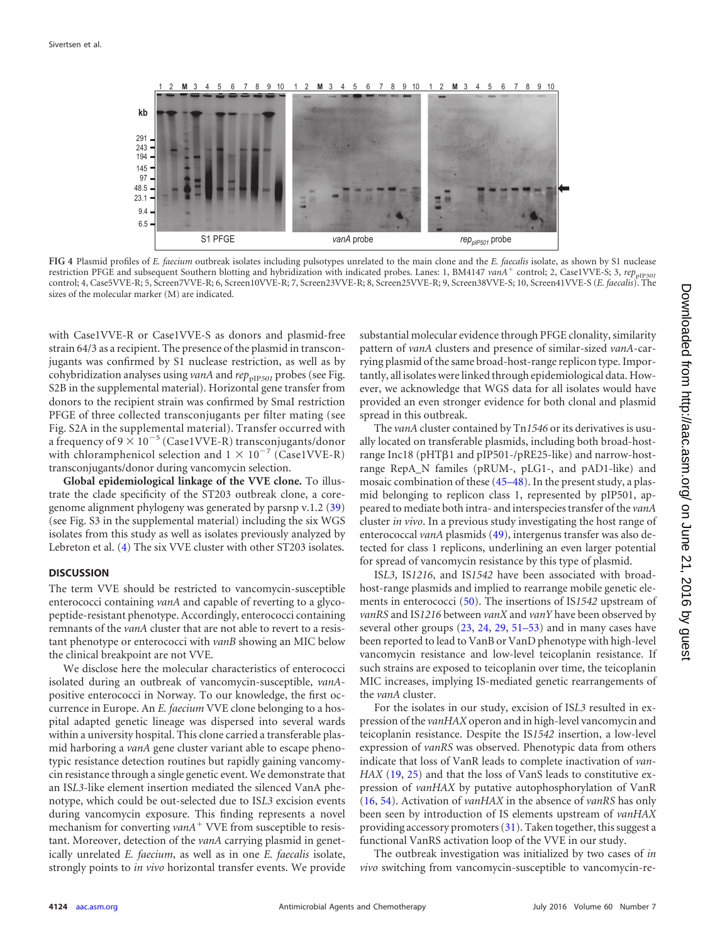

<span id="page-5-0"></span>**FIG 4** Plasmid profiles of *E. faecium* outbreak isolates including pulsotypes unrelated to the main clone and the *E. faecalis* isolate, as shown by S1 nuclease restriction PFGE and subsequent Southern blotting and hybridization with indicated probes. Lanes: 1, BM4147 *vanA*<sup>+</sup> control; 2, Case1VVE-S; 3,  $rep_{\text{pIP501}}$ control; 4, Case5VVE-R; 5, Screen7VVE-R; 6, Screen10VVE-R; 7, Screen23VVE-R; 8, Screen25VVE-R; 9, Screen38VVE-S; 10, Screen41VVE-S (*E. faecalis*). The sizes of the molecular marker (M) are indicated.

with Case1VVE-R or Case1VVE-S as donors and plasmid-free strain 64/3 as a recipient. The presence of the plasmid in transconjugants was confirmed by S1 nuclease restriction, as well as by cohybridization analyses using *vanA* and  $rep_{pIP501}$  probes (see Fig. S2B in the supplemental material). Horizontal gene transfer from donors to the recipient strain was confirmed by SmaI restriction PFGE of three collected transconjugants per filter mating (see Fig. S2A in the supplemental material). Transfer occurred with a frequency of 9  $\times$  10<sup>-5</sup> (Case1VVE-R) transconjugants/donor with chloramphenicol selection and  $1 \times 10^{-7}$  (Case1VVE-R) transconjugants/donor during vancomycin selection.

**Global epidemiological linkage of the VVE clone.** To illustrate the clade specificity of the ST203 outbreak clone, a coregenome alignment phylogeny was generated by parsnp v.1.2 [\(39\)](#page-7-15) (see Fig. S3 in the supplemental material) including the six WGS isolates from this study as well as isolates previously analyzed by Lebreton et al. [\(4\)](#page-6-3) The six VVE cluster with other ST203 isolates.

### **DISCUSSION**

The term VVE should be restricted to vancomycin-susceptible enterococci containing *vanA* and capable of reverting to a glycopeptide-resistant phenotype. Accordingly, enterococci containing remnants of the *vanA* cluster that are not able to revert to a resistant phenotype or enterococci with *vanB* showing an MIC below the clinical breakpoint are not VVE.

We disclose here the molecular characteristics of enterococci isolated during an outbreak of vancomycin-susceptible, *vanA*positive enterococci in Norway. To our knowledge, the first occurrence in Europe. An *E. faecium* VVE clone belonging to a hospital adapted genetic lineage was dispersed into several wards within a university hospital. This clone carried a transferable plasmid harboring a *vanA* gene cluster variant able to escape phenotypic resistance detection routines but rapidly gaining vancomycin resistance through a single genetic event. We demonstrate that an IS*L3*-like element insertion mediated the silenced VanA phenotype, which could be out-selected due to IS*L3* excision events during vancomycin exposure. This finding represents a novel mechanism for converting *vanA*<sup>+</sup> VVE from susceptible to resistant. Moreover, detection of the *vanA* carrying plasmid in genetically unrelated *E. faecium*, as well as in one *E. faecalis* isolate, strongly points to *in vivo* horizontal transfer events. We provide

substantial molecular evidence through PFGE clonality, similarity pattern of *vanA* clusters and presence of similar-sized *vanA*-carrying plasmid of the same broad-host-range replicon type. Importantly, all isolates were linked through epidemiological data. However, we acknowledge that WGS data for all isolates would have provided an even stronger evidence for both clonal and plasmid spread in this outbreak.

The *vanA* cluster contained by Tn*1546* or its derivatives is usually located on transferable plasmids, including both broad-hostrange Inc18 (pHTß1 and pIP501-/pRE25-like) and narrow-hostrange RepA\_N familes (pRUM-, pLG1-, and pAD1-like) and mosaic combination of these [\(45](#page-7-21)[–](#page-7-22)[48\)](#page-7-23). In the present study, a plasmid belonging to replicon class 1, represented by pIP501, appeared to mediate both intra- and interspecies transfer of the *vanA* cluster *in vivo*. In a previous study investigating the host range of enterococcal *vanA* plasmids [\(49\)](#page-7-24), intergenus transfer was also detected for class 1 replicons, underlining an even larger potential for spread of vancomycin resistance by this type of plasmid.

IS*L3*, IS*1216*, and IS*1542* have been associated with broadhost-range plasmids and implied to rearrange mobile genetic elements in enterococci [\(50\)](#page-7-25). The insertions of IS*1542* upstream of *vanRS* and IS*1216* between *vanX* and *vanY* have been observed by several other groups [\(23,](#page-7-2) [24,](#page-7-26) [29,](#page-7-5) [51](#page-7-27)[–](#page-7-28)[53\)](#page-7-29) and in many cases have been reported to lead to VanB or VanD phenotype with high-level vancomycin resistance and low-level teicoplanin resistance. If such strains are exposed to teicoplanin over time, the teicoplanin MIC increases, implying IS-mediated genetic rearrangements of the *vanA* cluster.

For the isolates in our study, excision of IS*L3* resulted in expression of the *vanHAX* operon and in high-level vancomycin and teicoplanin resistance. Despite the IS*1542* insertion, a low-level expression of *vanRS* was observed. Phenotypic data from others indicate that loss of VanR leads to complete inactivation of *van-HAX* [\(19,](#page-6-17) [25\)](#page-7-30) and that the loss of VanS leads to constitutive expression of *vanHAX* by putative autophosphorylation of VanR [\(16,](#page-6-14) [54\)](#page-8-0). Activation of *vanHAX* in the absence of *vanRS* has only been seen by introduction of IS elements upstream of *vanHAX* providing accessory promoters [\(31\)](#page-7-7). Taken together, this suggest a functional VanRS activation loop of the VVE in our study.

The outbreak investigation was initialized by two cases of *in vivo* switching from vancomycin-susceptible to vancomycin-re-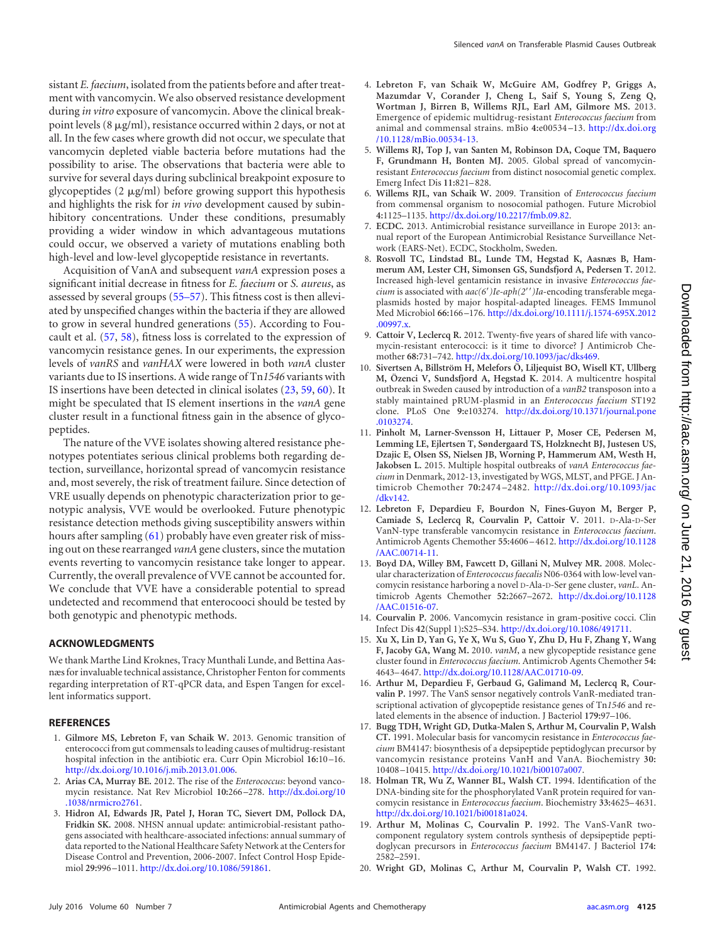sistant *E. faecium*, isolated from the patients before and after treatment with vancomycin. We also observed resistance development during *in vitro* exposure of vancomycin. Above the clinical breakpoint levels  $(8 \mu g/ml)$ , resistance occurred within 2 days, or not at all. In the few cases where growth did not occur, we speculate that vancomycin depleted viable bacteria before mutations had the possibility to arise. The observations that bacteria were able to survive for several days during subclinical breakpoint exposure to glycopeptides  $(2 \mu g/ml)$  before growing support this hypothesis and highlights the risk for *in vivo* development caused by subinhibitory concentrations. Under these conditions, presumably providing a wider window in which advantageous mutations could occur, we observed a variety of mutations enabling both high-level and low-level glycopeptide resistance in revertants.

Acquisition of VanA and subsequent *vanA* expression poses a significant initial decrease in fitness for *E. faecium* or *S. aureus*, as assessed by several groups [\(55](#page-8-1)[–](#page-8-2)[57\)](#page-8-3). This fitness cost is then alleviated by unspecified changes within the bacteria if they are allowed to grow in several hundred generations [\(55\)](#page-8-1). According to Foucault et al. [\(57,](#page-8-3) [58\)](#page-8-4), fitness loss is correlated to the expression of vancomycin resistance genes. In our experiments, the expression levels of *vanRS* and *vanHAX* were lowered in both *vanA* cluster variants due to IS insertions. A wide range of Tn*1546* variants with IS insertions have been detected in clinical isolates [\(23,](#page-7-2) [59,](#page-8-5) [60\)](#page-8-6). It might be speculated that IS element insertions in the *vanA* gene cluster result in a functional fitness gain in the absence of glycopeptides.

The nature of the VVE isolates showing altered resistance phenotypes potentiates serious clinical problems both regarding detection, surveillance, horizontal spread of vancomycin resistance and, most severely, the risk of treatment failure. Since detection of VRE usually depends on phenotypic characterization prior to genotypic analysis, VVE would be overlooked. Future phenotypic resistance detection methods giving susceptibility answers within hours after sampling [\(61\)](#page-8-7) probably have even greater risk of missing out on these rearranged *vanA* gene clusters, since the mutation events reverting to vancomycin resistance take longer to appear. Currently, the overall prevalence of VVE cannot be accounted for. We conclude that VVE have a considerable potential to spread undetected and recommend that enterocooci should be tested by both genotypic and phenotypic methods.

## **ACKNOWLEDGMENTS**

We thank Marthe Lind Kroknes, Tracy Munthali Lunde, and Bettina Aasnæs for invaluable technical assistance, Christopher Fenton for comments regarding interpretation of RT-qPCR data, and Espen Tangen for excellent informatics support.

### <span id="page-6-0"></span>**REFERENCES**

- 1. **Gilmore MS, Lebreton F, van Schaik W.** 2013. Genomic transition of enterococci from gut commensals to leading causes of multidrug-resistant hospital infection in the antibiotic era. Curr Opin Microbiol **16:**10 –16. [http://dx.doi.org/10.1016/j.mib.2013.01.006.](http://dx.doi.org/10.1016/j.mib.2013.01.006)
- <span id="page-6-2"></span><span id="page-6-1"></span>2. **Arias CA, Murray BE.** 2012. The rise of the *Enterococcus*: beyond vancomycin resistance. Nat Rev Microbiol **10:**266 –278. [http://dx.doi.org/10](http://dx.doi.org/10.1038/nrmicro2761) [.1038/nrmicro2761.](http://dx.doi.org/10.1038/nrmicro2761)
- 3. **Hidron AI, Edwards JR, Patel J, Horan TC, Sievert DM, Pollock DA, Fridkin SK.** 2008. NHSN annual update: antimicrobial-resistant pathogens associated with healthcare-associated infections: annual summary of data reported to the National Healthcare Safety Network at the Centers for Disease Control and Prevention, 2006-2007. Infect Control Hosp Epidemiol **29:**996 –1011. [http://dx.doi.org/10.1086/591861.](http://dx.doi.org/10.1086/591861)
- <span id="page-6-3"></span>4. **Lebreton F, van Schaik W, McGuire AM, Godfrey P, Griggs A, Mazumdar V, Corander J, Cheng L, Saif S, Young S, Zeng Q, Wortman J, Birren B, Willems RJL, Earl AM, Gilmore MS.** 2013. Emergence of epidemic multidrug-resistant *Enterococcus faecium* from animal and commensal strains. mBio **4:**e00534 –13. [http://dx.doi.org](http://dx.doi.org/10.1128/mBio.00534-13) [/10.1128/mBio.00534-13.](http://dx.doi.org/10.1128/mBio.00534-13)
- <span id="page-6-4"></span>5. **Willems RJ, Top J, van Santen M, Robinson DA, Coque TM, Baquero F, Grundmann H, Bonten MJ.** 2005. Global spread of vancomycinresistant *Enterococcus faecium* from distinct nosocomial genetic complex. Emerg Infect Dis **11:**821– 828.
- <span id="page-6-5"></span>6. **Willems RJL, van Schaik W.** 2009. Transition of *Enterococcus faecium* from commensal organism to nosocomial pathogen. Future Microbiol **4:**1125–1135. [http://dx.doi.org/10.2217/fmb.09.82.](http://dx.doi.org/10.2217/fmb.09.82)
- <span id="page-6-6"></span>7. **ECDC.** 2013. Antimicrobial resistance surveillance in Europe 2013: annual report of the European Antimicrobial Resistance Surveillance Network (EARS-Net). ECDC, Stockholm, Sweden.
- <span id="page-6-7"></span>8. **Rosvoll TC, Lindstad BL, Lunde TM, Hegstad K, Aasnæs B, Hammerum AM, Lester CH, Simonsen GS, Sundsfjord A, Pedersen T.** 2012. Increased high-level gentamicin resistance in invasive *Enterococcus faecium* is associated with  $aac(6')Ie-aph(2'')Ia$ -encoding transferable megaplasmids hosted by major hospital-adapted lineages. FEMS Immunol Med Microbiol **66:**166 –176. [http://dx.doi.org/10.1111/j.1574-695X.2012](http://dx.doi.org/10.1111/j.1574-695X.2012.00997.x) [.00997.x.](http://dx.doi.org/10.1111/j.1574-695X.2012.00997.x)
- <span id="page-6-8"></span>9. **Cattoir V, Leclercq R.** 2012. Twenty-five years of shared life with vancomycin-resistant enterococci: is it time to divorce? J Antimicrob Chemother **68:**731–742. [http://dx.doi.org/10.1093/jac/dks469.](http://dx.doi.org/10.1093/jac/dks469)
- <span id="page-6-9"></span>10. Sivertsen A, Billström H, Melefors  $\ddot{\text{O}}$ , Liljequist BO, Wisell KT, Ullberg **M, O¨ zenci V, Sundsfjord A, Hegstad K.** 2014. A multicentre hospital outbreak in Sweden caused by introduction of a *vanB2* transposon into a stably maintained pRUM-plasmid in an *Enterococcus faecium* ST192 clone. PLoS One **9:**e103274. [http://dx.doi.org/10.1371/journal.pone](http://dx.doi.org/10.1371/journal.pone.0103274) [.0103274.](http://dx.doi.org/10.1371/journal.pone.0103274)
- <span id="page-6-10"></span>11. **Pinholt M, Larner-Svensson H, Littauer P, Moser CE, Pedersen M, Lemming LE, Ejlertsen T, Søndergaard TS, Holzknecht BJ, Justesen US, Dzajic E, Olsen SS, Nielsen JB, Worning P, Hammerum AM, Westh H, Jakobsen L.** 2015. Multiple hospital outbreaks of *vanA Enterococcus faecium* in Denmark, 2012-13, investigated by WGS, MLST, and PFGE. J Antimicrob Chemother **70:**2474 –2482. [http://dx.doi.org/10.1093/jac](http://dx.doi.org/10.1093/jac/dkv142) [/dkv142.](http://dx.doi.org/10.1093/jac/dkv142)
- <span id="page-6-11"></span>12. **Lebreton F, Depardieu F, Bourdon N, Fines-Guyon M, Berger P, Camiade S, Leclercq R, Courvalin P, Cattoir V.** 2011. D-Ala-D-Ser VanN-type transferable vancomycin resistance in *Enterococcus faecium*. Antimicrob Agents Chemother **55:**4606 – 4612. [http://dx.doi.org/10.1128](http://dx.doi.org/10.1128/AAC.00714-11) [/AAC.00714-11.](http://dx.doi.org/10.1128/AAC.00714-11)
- 13. **Boyd DA, Willey BM, Fawcett D, Gillani N, Mulvey MR.** 2008. Molecular characterization of *Enterococcus faecalis* N06-0364 with low-level vancomycin resistance harboring a novel D-Ala-D-Ser gene cluster, *vanL*. Antimicrob Agents Chemother **52:**2667–2672. [http://dx.doi.org/10.1128](http://dx.doi.org/10.1128/AAC.01516-07) [/AAC.01516-07.](http://dx.doi.org/10.1128/AAC.01516-07)
- <span id="page-6-13"></span><span id="page-6-12"></span>14. **Courvalin P.** 2006. Vancomycin resistance in gram-positive cocci. Clin Infect Dis **42**(Suppl 1)**:**S25–S34. [http://dx.doi.org/10.1086/491711.](http://dx.doi.org/10.1086/491711)
- 15. **Xu X, Lin D, Yan G, Ye X, Wu S, Guo Y, Zhu D, Hu F, Zhang Y, Wang F, Jacoby GA, Wang M.** 2010. *vanM*, a new glycopeptide resistance gene cluster found in *Enterococcus faecium*. Antimicrob Agents Chemother **54:** 4643– 4647. [http://dx.doi.org/10.1128/AAC.01710-09.](http://dx.doi.org/10.1128/AAC.01710-09)
- <span id="page-6-14"></span>16. **Arthur M, Depardieu F, Gerbaud G, Galimand M, Leclercq R, Courvalin P.** 1997. The VanS sensor negatively controls VanR-mediated transcriptional activation of glycopeptide resistance genes of Tn*1546* and related elements in the absence of induction. J Bacteriol **179:**97–106.
- <span id="page-6-15"></span>17. **Bugg TDH, Wright GD, Dutka-Malen S, Arthur M, Courvalin P, Walsh CT.** 1991. Molecular basis for vancomycin resistance in *Enterococcus faecium* BM4147: biosynthesis of a depsipeptide peptidoglycan precursor by vancomycin resistance proteins VanH and VanA. Biochemistry **30:** 10408 –10415. [http://dx.doi.org/10.1021/bi00107a007.](http://dx.doi.org/10.1021/bi00107a007)
- <span id="page-6-16"></span>18. **Holman TR, Wu Z, Wanner BL, Walsh CT.** 1994. Identification of the DNA-binding site for the phosphorylated VanR protein required for vancomycin resistance in *Enterococcus faecium*. Biochemistry **33:**4625– 4631. [http://dx.doi.org/10.1021/bi00181a024.](http://dx.doi.org/10.1021/bi00181a024)
- <span id="page-6-17"></span>19. **Arthur M, Molinas C, Courvalin P.** 1992. The VanS-VanR twocomponent regulatory system controls synthesis of depsipeptide peptidoglycan precursors in *Enterococcus faecium* BM4147. J Bacteriol **174:** 2582–2591.
- <span id="page-6-18"></span>20. **Wright GD, Molinas C, Arthur M, Courvalin P, Walsh CT.** 1992.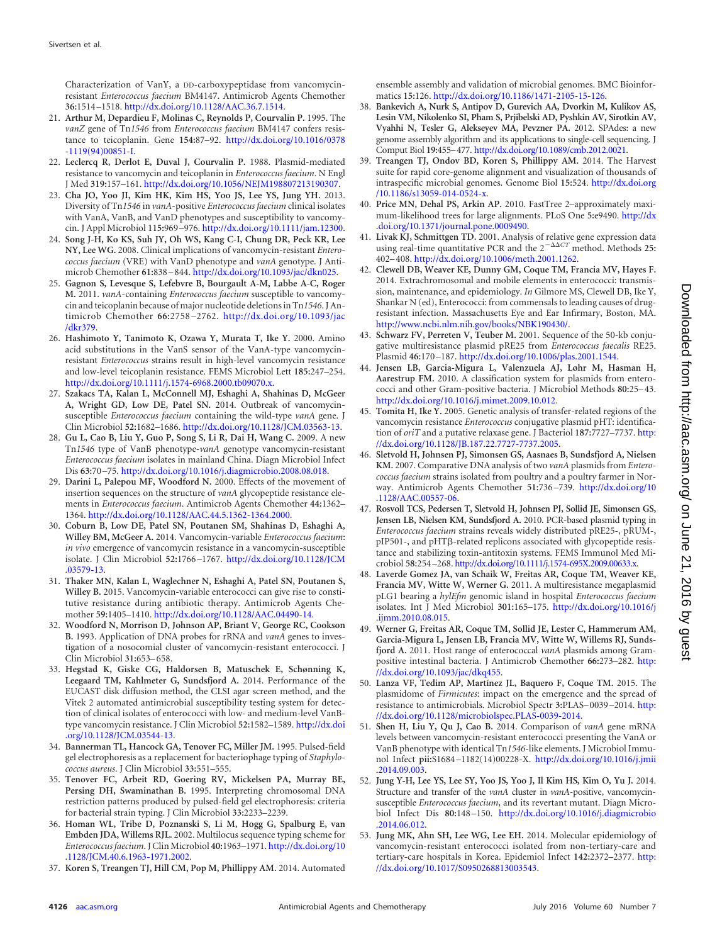Characterization of VanY, a DD-carboxypeptidase from vancomycinresistant *Enterococcus faecium* BM4147. Antimicrob Agents Chemother **36:**1514 –1518. [http://dx.doi.org/10.1128/AAC.36.7.1514.](http://dx.doi.org/10.1128/AAC.36.7.1514)

- <span id="page-7-0"></span>21. **Arthur M, Depardieu F, Molinas C, Reynolds P, Courvalin P.** 1995. The *vanZ* gene of Tn*1546* from *Enterococcus faecium* BM4147 confers resistance to teicoplanin. Gene **154:**87–92. [http://dx.doi.org/10.1016/0378](http://dx.doi.org/10.1016/0378-1119(94)00851-I) [-1119\(94\)00851-I.](http://dx.doi.org/10.1016/0378-1119(94)00851-I)
- <span id="page-7-1"></span>22. **Leclercq R, Derlot E, Duval J, Courvalin P.** 1988. Plasmid-mediated resistance to vancomycin and teicoplanin in *Enterococcus faecium*. N Engl J Med **319:**157–161. [http://dx.doi.org/10.1056/NEJM198807213190307.](http://dx.doi.org/10.1056/NEJM198807213190307)
- <span id="page-7-2"></span>23. **Cha JO, Yoo JI, Kim HK, Kim HS, Yoo JS, Lee YS, Jung YH.** 2013. Diversity of Tn*1546* in *vanA*-positive *Enterococcus faecium* clinical isolates with VanA, VanB, and VanD phenotypes and susceptibility to vancomycin. J Appl Microbiol **115:**969 –976. [http://dx.doi.org/10.1111/jam.12300.](http://dx.doi.org/10.1111/jam.12300)
- <span id="page-7-26"></span>24. **Song J-H, Ko KS, Suh JY, Oh WS, Kang C-I, Chung DR, Peck KR, Lee NY, Lee WG.** 2008. Clinical implications of vancomycin-resistant *Enterococcus faecium* (VRE) with VanD phenotype and *vanA* genotype. J Antimicrob Chemother **61:**838 – 844. [http://dx.doi.org/10.1093/jac/dkn025.](http://dx.doi.org/10.1093/jac/dkn025)
- <span id="page-7-30"></span>25. **Gagnon S, Levesque S, Lefebvre B, Bourgault A-M, Labbe A-C, Roger M.** 2011. *vanA*-containing *Enterococcus faecium* susceptible to vancomycin and teicoplanin because of major nucleotide deletions in Tn*1546*. J Antimicrob Chemother **66:**2758 –2762. [http://dx.doi.org/10.1093/jac](http://dx.doi.org/10.1093/jac/dkr379) [/dkr379.](http://dx.doi.org/10.1093/jac/dkr379)
- 26. **Hashimoto Y, Tanimoto K, Ozawa Y, Murata T, Ike Y.** 2000. Amino acid substitutions in the VanS sensor of the VanA-type vancomycinresistant *Enterococcus* strains result in high-level vancomycin resistance and low-level teicoplanin resistance. FEMS Microbiol Lett **185:**247–254. [http://dx.doi.org/10.1111/j.1574-6968.2000.tb09070.x.](http://dx.doi.org/10.1111/j.1574-6968.2000.tb09070.x)
- <span id="page-7-3"></span>27. **Szakacs TA, Kalan L, McConnell MJ, Eshaghi A, Shahinas D, McGeer A, Wright GD, Low DE, Patel SN.** 2014. Outbreak of vancomycinsusceptible *Enterococcus faecium* containing the wild-type *vanA* gene. J Clin Microbiol **52:**1682–1686. [http://dx.doi.org/10.1128/JCM.03563-13.](http://dx.doi.org/10.1128/JCM.03563-13)
- <span id="page-7-4"></span>28. **Gu L, Cao B, Liu Y, Guo P, Song S, Li R, Dai H, Wang C.** 2009. A new Tn*1546* type of VanB phenotype-*vanA* genotype vancomycin-resistant *Enterococcus faecium* isolates in mainland China. Diagn Microbiol Infect Dis **63:**70 –75. [http://dx.doi.org/10.1016/j.diagmicrobio.2008.08.018.](http://dx.doi.org/10.1016/j.diagmicrobio.2008.08.018)
- <span id="page-7-5"></span>29. **Darini L, Palepou MF, Woodford N.** 2000. Effects of the movement of insertion sequences on the structure of *vanA* glycopeptide resistance elements in *Enterococcus faecium*. Antimicrob Agents Chemother **44:**1362– 1364. [http://dx.doi.org/10.1128/AAC.44.5.1362-1364.2000.](http://dx.doi.org/10.1128/AAC.44.5.1362-1364.2000)
- <span id="page-7-6"></span>30. **Coburn B, Low DE, Patel SN, Poutanen SM, Shahinas D, Eshaghi A, Willey BM, McGeer A.** 2014. Vancomycin-variable *Enterococcus faecium*: *in vivo* emergence of vancomycin resistance in a vancomycin-susceptible isolate. J Clin Microbiol **52:**1766 –1767. [http://dx.doi.org/10.1128/JCM](http://dx.doi.org/10.1128/JCM.03579-13) [.03579-13.](http://dx.doi.org/10.1128/JCM.03579-13)
- <span id="page-7-7"></span>31. **Thaker MN, Kalan L, Waglechner N, Eshaghi A, Patel SN, Poutanen S, Willey B.** 2015. Vancomycin-variable enterococci can give rise to constitutive resistance during antibiotic therapy. Antimicrob Agents Chemother **59:**1405–1410. [http://dx.doi.org/10.1128/AAC.04490-14.](http://dx.doi.org/10.1128/AAC.04490-14)
- <span id="page-7-8"></span>32. **Woodford N, Morrison D, Johnson AP, Briant V, George RC, Cookson B.** 1993. Application of DNA probes for rRNA and *vanA* genes to investigation of a nosocomial cluster of vancomycin-resistant enterococci. J Clin Microbiol **31:**653– 658.
- <span id="page-7-9"></span>33. **Hegstad K, Giske CG, Haldorsen B, Matuschek E, Schønning K, Leegaard TM, Kahlmeter G, Sundsfjord A.** 2014. Performance of the EUCAST disk diffusion method, the CLSI agar screen method, and the Vitek 2 automated antimicrobial susceptibility testing system for detection of clinical isolates of enterococci with low- and medium-level VanBtype vancomycin resistance. J Clin Microbiol **52:**1582–1589. [http://dx.doi](http://dx.doi.org/10.1128/JCM.03544-13) [.org/10.1128/JCM.03544-13.](http://dx.doi.org/10.1128/JCM.03544-13)
- <span id="page-7-11"></span><span id="page-7-10"></span>34. **Bannerman TL, Hancock GA, Tenover FC, Miller JM.** 1995. Pulsed-field gel electrophoresis as a replacement for bacteriophage typing of *Staphylococcus aureus*. J Clin Microbiol **33:**551–555.
- 35. **Tenover FC, Arbeit RD, Goering RV, Mickelsen PA, Murray BE, Persing DH, Swaminathan B.** 1995. Interpreting chromosomal DNA restriction patterns produced by pulsed-field gel electrophoresis: criteria for bacterial strain typing. J Clin Microbiol **33:**2233–2239.
- <span id="page-7-12"></span>36. **Homan WL, Tribe D, Poznanski S, Li M, Hogg G, Spalburg E, van Embden JDA, Willems RJL.** 2002. Multilocus sequence typing scheme for *Enterococcus faecium*. J Clin Microbiol **40:**1963–1971. [http://dx.doi.org/10](http://dx.doi.org/10.1128/JCM.40.6.1963-1971.2002) [.1128/JCM.40.6.1963-1971.2002.](http://dx.doi.org/10.1128/JCM.40.6.1963-1971.2002)
- <span id="page-7-13"></span>37. **Koren S, Treangen TJ, Hill CM, Pop M, Phillippy AM.** 2014. Automated

ensemble assembly and validation of microbial genomes. BMC Bioinformatics **15:**126. [http://dx.doi.org/10.1186/1471-2105-15-126.](http://dx.doi.org/10.1186/1471-2105-15-126)

- <span id="page-7-14"></span>38. **Bankevich A, Nurk S, Antipov D, Gurevich AA, Dvorkin M, Kulikov AS, Lesin VM, Nikolenko SI, Pham S, Prjibelski AD, Pyshkin AV, Sirotkin AV, Vyahhi N, Tesler G, Alekseyev MA, Pevzner PA.** 2012. SPAdes: a new genome assembly algorithm and its applications to single-cell sequencing. J Comput Biol **19:**455–477. [http://dx.doi.org/10.1089/cmb.2012.0021.](http://dx.doi.org/10.1089/cmb.2012.0021)
- <span id="page-7-15"></span>39. **Treangen TJ, Ondov BD, Koren S, Phillippy AM.** 2014. The Harvest suite for rapid core-genome alignment and visualization of thousands of intraspecific microbial genomes. Genome Biol **15:**524. [http://dx.doi.org](http://dx.doi.org/10.1186/s13059-014-0524-x) [/10.1186/s13059-014-0524-x.](http://dx.doi.org/10.1186/s13059-014-0524-x)
- <span id="page-7-16"></span>40. **Price MN, Dehal PS, Arkin AP.** 2010. FastTree 2–approximately maximum-likelihood trees for large alignments. PLoS One **5:**e9490. [http://dx](http://dx.doi.org/10.1371/journal.pone.0009490) [.doi.org/10.1371/journal.pone.0009490.](http://dx.doi.org/10.1371/journal.pone.0009490)
- <span id="page-7-17"></span>41. **Livak KJ, Schmittgen TD.** 2001. Analysis of relative gene expression data using real-time quantitative PCR and the  $2^{-\Delta\Delta CT}$  method. Methods 25: 402– 408. [http://dx.doi.org/10.1006/meth.2001.1262.](http://dx.doi.org/10.1006/meth.2001.1262)
- <span id="page-7-18"></span>42. **Clewell DB, Weaver KE, Dunny GM, Coque TM, Francia MV, Hayes F.** 2014. Extrachromosomal and mobile elements in enterococci: transmission, maintenance, and epidemiology. *In* Gilmore MS, Clewell DB, Ike Y, Shankar N (ed), Enterococci: from commensals to leading causes of drugresistant infection. Massachusetts Eye and Ear Infirmary, Boston, MA. [http://www.ncbi.nlm.nih.gov/books/NBK190430/.](http://www.ncbi.nlm.nih.gov/books/NBK190430/)
- <span id="page-7-19"></span>43. **Schwarz FV, Perreten V, Teuber M.** 2001. Sequence of the 50-kb conjugative multiresistance plasmid pRE25 from *Enterococcus faecalis* RE25. Plasmid **46:**170 –187. [http://dx.doi.org/10.1006/plas.2001.1544.](http://dx.doi.org/10.1006/plas.2001.1544)
- <span id="page-7-20"></span>44. **Jensen LB, Garcia-Migura L, Valenzuela AJ, Løhr M, Hasman H, Aarestrup FM.** 2010. A classification system for plasmids from enterococci and other Gram-positive bacteria. J Microbiol Methods **80:**25– 43. [http://dx.doi.org/10.1016/j.mimet.2009.10.012.](http://dx.doi.org/10.1016/j.mimet.2009.10.012)
- <span id="page-7-21"></span>45. **Tomita H, Ike Y.** 2005. Genetic analysis of transfer-related regions of the vancomycin resistance *Enterococcus* conjugative plasmid pHT: identification of *oriT* and a putative relaxase gene. J Bacteriol **187:**7727–7737. [http:](http://dx.doi.org/10.1128/JB.187.22.7727-7737.2005) [//dx.doi.org/10.1128/JB.187.22.7727-7737.2005.](http://dx.doi.org/10.1128/JB.187.22.7727-7737.2005)
- 46. **Sletvold H, Johnsen PJ, Simonsen GS, Aasnaes B, Sundsfjord A, Nielsen KM.** 2007. Comparative DNA analysis of two *vanA* plasmids from *Enterococcus faecium* strains isolated from poultry and a poultry farmer in Norway. Antimicrob Agents Chemother **51:**736 –739. [http://dx.doi.org/10](http://dx.doi.org/10.1128/AAC.00557-06) [.1128/AAC.00557-06.](http://dx.doi.org/10.1128/AAC.00557-06)
- <span id="page-7-22"></span>47. **Rosvoll TCS, Pedersen T, Sletvold H, Johnsen PJ, Sollid JE, Simonsen GS, Jensen LB, Nielsen KM, Sundsfjord A.** 2010. PCR-based plasmid typing in *Enterococcus faecium* strains reveals widely distributed pRE25-, pRUM-, pIP501-, and pHTß-related replicons associated with glycopeptide resistance and stabilizing toxin-antitoxin systems. FEMS Immunol Med Microbiol **58:**254 –268. [http://dx.doi.org/10.1111/j.1574-695X.2009.00633.x.](http://dx.doi.org/10.1111/j.1574-695X.2009.00633.x)
- <span id="page-7-23"></span>48. **Laverde Gomez JA, van Schaik W, Freitas AR, Coque TM, Weaver KE, Francia MV, Witte W, Werner G.** 2011. A multiresistance megaplasmid pLG1 bearing a *hylEfm* genomic island in hospital *Enterococcus faecium* isolates. Int J Med Microbiol **301:**165–175. [http://dx.doi.org/10.1016/j](http://dx.doi.org/10.1016/j.ijmm.2010.08.015) [.ijmm.2010.08.015.](http://dx.doi.org/10.1016/j.ijmm.2010.08.015)
- <span id="page-7-24"></span>49. **Werner G, Freitas AR, Coque TM, Sollid JE, Lester C, Hammerum AM, Garcia-Migura L, Jensen LB, Francia MV, Witte W, Willems RJ, Sundsfjord A.** 2011. Host range of enterococcal *vanA* plasmids among Grampositive intestinal bacteria. J Antimicrob Chemother **66:**273–282. [http:](http://dx.doi.org/10.1093/jac/dkq455) [//dx.doi.org/10.1093/jac/dkq455.](http://dx.doi.org/10.1093/jac/dkq455)
- <span id="page-7-25"></span>50. **Lanza VF, Tedim AP, Martínez JL, Baquero F, Coque TM.** 2015. The plasmidome of *Firmicutes*: impact on the emergence and the spread of resistance to antimicrobials. Microbiol Spectr **3:**PLAS– 0039 –2014. [http:](http://dx.doi.org/10.1128/microbiolspec.PLAS-0039-2014) [//dx.doi.org/10.1128/microbiolspec.PLAS-0039-2014.](http://dx.doi.org/10.1128/microbiolspec.PLAS-0039-2014)
- <span id="page-7-27"></span>51. **Shen H, Liu Y, Qu J, Cao B.** 2014. Comparison of *vanA* gene mRNA levels between vancomycin-resistant enterococci presenting the VanA or VanB phenotype with identical Tn*1546*-like elements. J Microbiol Immunol Infect **pii:**S1684 –1182(14)00228-X. [http://dx.doi.org/10.1016/j.jmii](http://dx.doi.org/10.1016/j.jmii.2014.09.003) [.2014.09.003.](http://dx.doi.org/10.1016/j.jmii.2014.09.003)
- <span id="page-7-28"></span>52. **Jung Y-H, Lee YS, Lee SY, Yoo JS, Yoo J, Il Kim HS, Kim O, Yu J.** 2014. Structure and transfer of the *vanA* cluster in *vanA*-positive, vancomycinsusceptible *Enterococcus faecium*, and its revertant mutant. Diagn Microbiol Infect Dis **80:**148 –150. [http://dx.doi.org/10.1016/j.diagmicrobio](http://dx.doi.org/10.1016/j.diagmicrobio.2014.06.012) [.2014.06.012.](http://dx.doi.org/10.1016/j.diagmicrobio.2014.06.012)
- <span id="page-7-29"></span>53. **Jung MK, Ahn SH, Lee WG, Lee EH.** 2014. Molecular epidemiology of vancomycin-resistant enterococci isolated from non-tertiary-care and tertiary-care hospitals in Korea. Epidemiol Infect **142:**2372–2377. [http:](http://dx.doi.org/10.1017/S0950268813003543) [//dx.doi.org/10.1017/S0950268813003543.](http://dx.doi.org/10.1017/S0950268813003543)